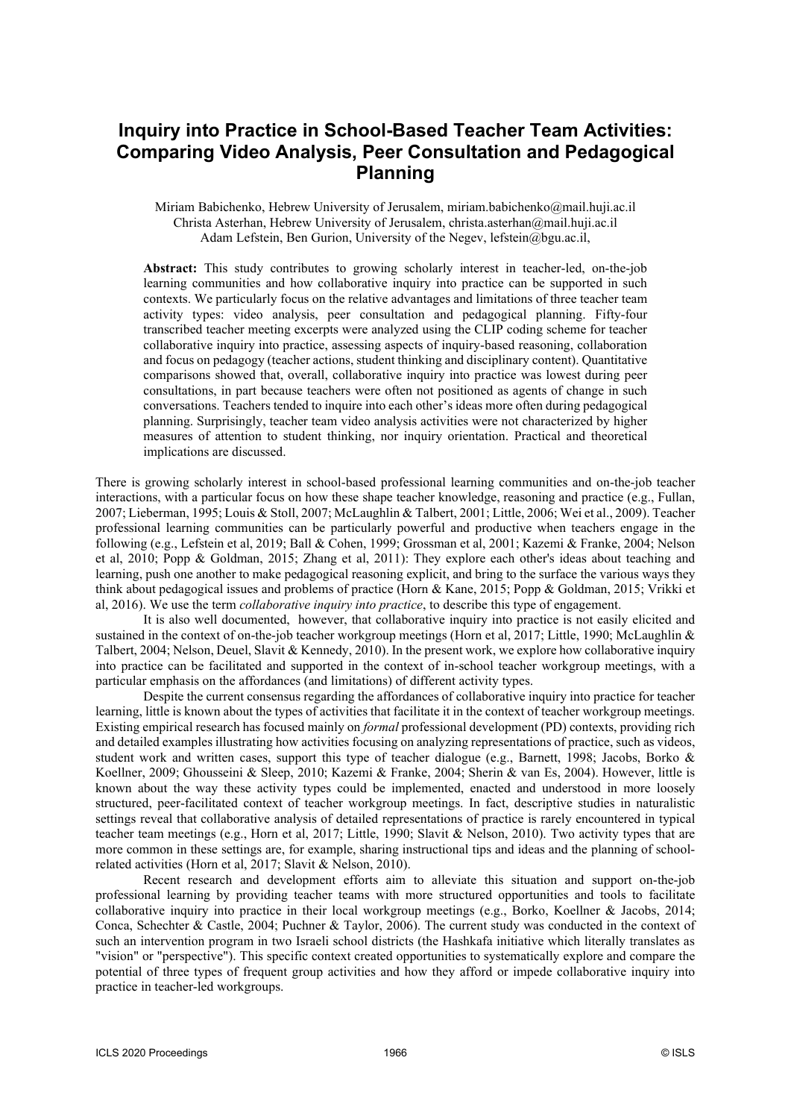# **Inquiry into Practice in School-Based Teacher Team Activities: Comparing Video Analysis, Peer Consultation and Pedagogical Planning**

Miriam Babichenko, Hebrew University of Jerusalem, miriam.babichenko@mail.huji.ac.il Christa Asterhan, Hebrew University of Jerusalem, christa.asterhan@mail.huji.ac.il Adam Lefstein, Ben Gurion, University of the Negev, lefstein@bgu.ac.il,

**Abstract:** This study contributes to growing scholarly interest in teacher-led, on-the-job learning communities and how collaborative inquiry into practice can be supported in such contexts. We particularly focus on the relative advantages and limitations of three teacher team activity types: video analysis, peer consultation and pedagogical planning. Fifty-four transcribed teacher meeting excerpts were analyzed using the CLIP coding scheme for teacher collaborative inquiry into practice, assessing aspects of inquiry-based reasoning, collaboration and focus on pedagogy (teacher actions, student thinking and disciplinary content). Quantitative comparisons showed that, overall, collaborative inquiry into practice was lowest during peer consultations, in part because teachers were often not positioned as agents of change in such conversations. Teachers tended to inquire into each other's ideas more often during pedagogical planning. Surprisingly, teacher team video analysis activities were not characterized by higher measures of attention to student thinking, nor inquiry orientation. Practical and theoretical implications are discussed.

There is growing scholarly interest in school-based professional learning communities and on-the-job teacher interactions, with a particular focus on how these shape teacher knowledge, reasoning and practice (e.g., Fullan, 2007; Lieberman, 1995; Louis & Stoll, 2007; McLaughlin & Talbert, 2001; Little, 2006; Wei et al., 2009). Teacher professional learning communities can be particularly powerful and productive when teachers engage in the following (e.g., Lefstein et al, 2019; Ball & Cohen, 1999; Grossman et al, 2001; Kazemi & Franke, 2004; Nelson et al, 2010; Popp & Goldman, 2015; Zhang et al, 2011): They explore each other's ideas about teaching and learning, push one another to make pedagogical reasoning explicit, and bring to the surface the various ways they think about pedagogical issues and problems of practice (Horn & Kane, 2015; Popp & Goldman, 2015; Vrikki et al, 2016). We use the term *collaborative inquiry into practice*, to describe this type of engagement.

It is also well documented, however, that collaborative inquiry into practice is not easily elicited and sustained in the context of on-the-job teacher workgroup meetings (Horn et al, 2017; Little, 1990; McLaughlin & Talbert, 2004; Nelson, Deuel, Slavit & Kennedy, 2010). In the present work, we explore how collaborative inquiry into practice can be facilitated and supported in the context of in-school teacher workgroup meetings, with a particular emphasis on the affordances (and limitations) of different activity types.

Despite the current consensus regarding the affordances of collaborative inquiry into practice for teacher learning, little is known about the types of activities that facilitate it in the context of teacher workgroup meetings. Existing empirical research has focused mainly on *formal* professional development (PD) contexts, providing rich and detailed examples illustrating how activities focusing on analyzing representations of practice, such as videos, student work and written cases, support this type of teacher dialogue (e.g., Barnett, 1998; Jacobs, Borko & Koellner, 2009; Ghousseini & Sleep, 2010; Kazemi & Franke, 2004; Sherin & van Es, 2004). However, little is known about the way these activity types could be implemented, enacted and understood in more loosely structured, peer-facilitated context of teacher workgroup meetings. In fact, descriptive studies in naturalistic settings reveal that collaborative analysis of detailed representations of practice is rarely encountered in typical teacher team meetings (e.g., Horn et al, 2017; Little, 1990; Slavit & Nelson, 2010). Two activity types that are more common in these settings are, for example, sharing instructional tips and ideas and the planning of schoolrelated activities (Horn et al, 2017; Slavit & Nelson, 2010).

Recent research and development efforts aim to alleviate this situation and support on-the-job professional learning by providing teacher teams with more structured opportunities and tools to facilitate collaborative inquiry into practice in their local workgroup meetings (e.g., Borko, Koellner & Jacobs, 2014; Conca, Schechter & Castle, 2004; Puchner & Taylor, 2006). The current study was conducted in the context of such an intervention program in two Israeli school districts (the Hashkafa initiative which literally translates as "vision" or "perspective"). This specific context created opportunities to systematically explore and compare the potential of three types of frequent group activities and how they afford or impede collaborative inquiry into practice in teacher-led workgroups.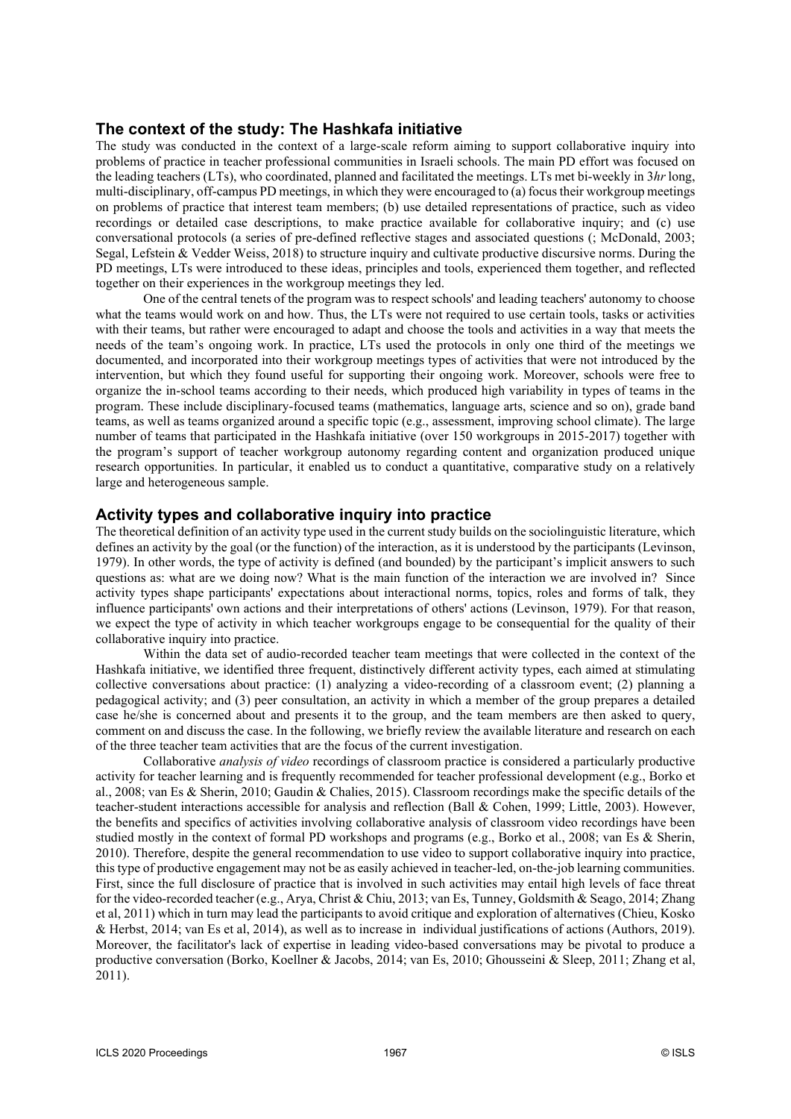### **The context of the study: The Hashkafa initiative**

The study was conducted in the context of a large-scale reform aiming to support collaborative inquiry into problems of practice in teacher professional communities in Israeli schools. The main PD effort was focused on the leading teachers (LTs), who coordinated, planned and facilitated the meetings. LTs met bi-weekly in 3*hr* long, multi-disciplinary, off-campus PD meetings, in which they were encouraged to (a) focus their workgroup meetings on problems of practice that interest team members; (b) use detailed representations of practice, such as video recordings or detailed case descriptions, to make practice available for collaborative inquiry; and (c) use conversational protocols (a series of pre-defined reflective stages and associated questions (; McDonald, 2003; Segal, Lefstein & Vedder Weiss, 2018) to structure inquiry and cultivate productive discursive norms. During the PD meetings, LTs were introduced to these ideas, principles and tools, experienced them together, and reflected together on their experiences in the workgroup meetings they led.

One of the central tenets of the program was to respect schools' and leading teachers' autonomy to choose what the teams would work on and how. Thus, the LTs were not required to use certain tools, tasks or activities with their teams, but rather were encouraged to adapt and choose the tools and activities in a way that meets the needs of the team's ongoing work. In practice, LTs used the protocols in only one third of the meetings we documented, and incorporated into their workgroup meetings types of activities that were not introduced by the intervention, but which they found useful for supporting their ongoing work. Moreover, schools were free to organize the in-school teams according to their needs, which produced high variability in types of teams in the program. These include disciplinary-focused teams (mathematics, language arts, science and so on), grade band teams, as well as teams organized around a specific topic (e.g., assessment, improving school climate). The large number of teams that participated in the Hashkafa initiative (over 150 workgroups in 2015-2017) together with the program's support of teacher workgroup autonomy regarding content and organization produced unique research opportunities. In particular, it enabled us to conduct a quantitative, comparative study on a relatively large and heterogeneous sample.

### **Activity types and collaborative inquiry into practice**

The theoretical definition of an activity type used in the current study builds on the sociolinguistic literature, which defines an activity by the goal (or the function) of the interaction, as it is understood by the participants (Levinson, 1979). In other words, the type of activity is defined (and bounded) by the participant's implicit answers to such questions as: what are we doing now? What is the main function of the interaction we are involved in? Since activity types shape participants' expectations about interactional norms, topics, roles and forms of talk, they influence participants' own actions and their interpretations of others' actions (Levinson, 1979). For that reason, we expect the type of activity in which teacher workgroups engage to be consequential for the quality of their collaborative inquiry into practice.

Within the data set of audio-recorded teacher team meetings that were collected in the context of the Hashkafa initiative, we identified three frequent, distinctively different activity types, each aimed at stimulating collective conversations about practice: (1) analyzing a video-recording of a classroom event; (2) planning a pedagogical activity; and (3) peer consultation, an activity in which a member of the group prepares a detailed case he/she is concerned about and presents it to the group, and the team members are then asked to query, comment on and discuss the case. In the following, we briefly review the available literature and research on each of the three teacher team activities that are the focus of the current investigation.

Collaborative *analysis of video* recordings of classroom practice is considered a particularly productive activity for teacher learning and is frequently recommended for teacher professional development (e.g., Borko et al., 2008; van Es & Sherin, 2010; Gaudin & Chalies, 2015). Classroom recordings make the specific details of the teacher-student interactions accessible for analysis and reflection (Ball & Cohen, 1999; Little, 2003). However, the benefits and specifics of activities involving collaborative analysis of classroom video recordings have been studied mostly in the context of formal PD workshops and programs (e.g., Borko et al., 2008; van Es & Sherin, 2010). Therefore, despite the general recommendation to use video to support collaborative inquiry into practice, this type of productive engagement may not be as easily achieved in teacher-led, on-the-job learning communities. First, since the full disclosure of practice that is involved in such activities may entail high levels of face threat for the video-recorded teacher (e.g., Arya, Christ & Chiu, 2013; van Es, Tunney, Goldsmith & Seago, 2014; Zhang et al, 2011) which in turn may lead the participants to avoid critique and exploration of alternatives (Chieu, Kosko & Herbst, 2014; van Es et al, 2014), as well as to increase in individual justifications of actions (Authors, 2019). Moreover, the facilitator's lack of expertise in leading video-based conversations may be pivotal to produce a productive conversation (Borko, Koellner & Jacobs, 2014; van Es, 2010; Ghousseini & Sleep, 2011; Zhang et al, 2011).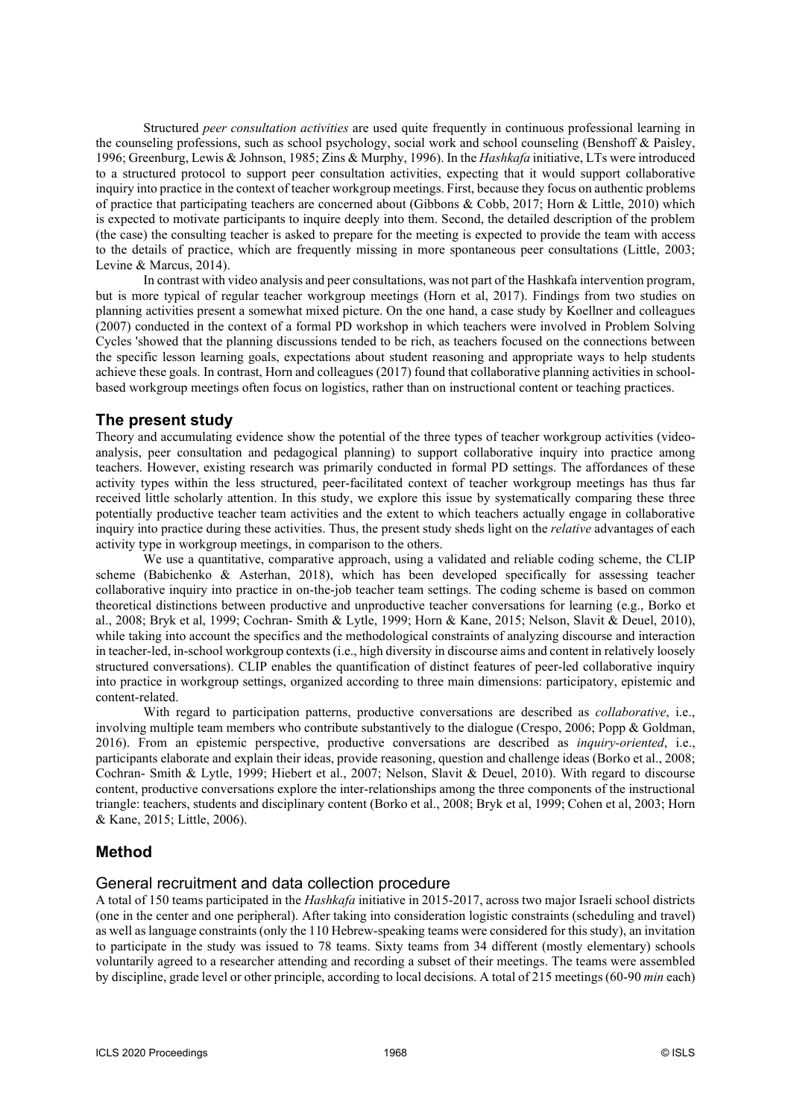Structured *peer consultation activities* are used quite frequently in continuous professional learning in the counseling professions, such as school psychology, social work and school counseling (Benshoff & Paisley, 1996; Greenburg, Lewis & Johnson, 1985; Zins & Murphy, 1996). In the *Hashkafa* initiative, LTs were introduced to a structured protocol to support peer consultation activities, expecting that it would support collaborative inquiry into practice in the context of teacher workgroup meetings. First, because they focus on authentic problems of practice that participating teachers are concerned about (Gibbons & Cobb, 2017; Horn & Little, 2010) which is expected to motivate participants to inquire deeply into them. Second, the detailed description of the problem (the case) the consulting teacher is asked to prepare for the meeting is expected to provide the team with access to the details of practice, which are frequently missing in more spontaneous peer consultations (Little, 2003; Levine & Marcus, 2014).

In contrast with video analysis and peer consultations, was not part of the Hashkafa intervention program, but is more typical of regular teacher workgroup meetings (Horn et al, 2017). Findings from two studies on planning activities present a somewhat mixed picture. On the one hand, a case study by Koellner and colleagues (2007) conducted in the context of a formal PD workshop in which teachers were involved in Problem Solving Cycles 'showed that the planning discussions tended to be rich, as teachers focused on the connections between the specific lesson learning goals, expectations about student reasoning and appropriate ways to help students achieve these goals. In contrast, Horn and colleagues (2017) found that collaborative planning activities in schoolbased workgroup meetings often focus on logistics, rather than on instructional content or teaching practices.

### **The present study**

Theory and accumulating evidence show the potential of the three types of teacher workgroup activities (videoanalysis, peer consultation and pedagogical planning) to support collaborative inquiry into practice among teachers. However, existing research was primarily conducted in formal PD settings. The affordances of these activity types within the less structured, peer-facilitated context of teacher workgroup meetings has thus far received little scholarly attention. In this study, we explore this issue by systematically comparing these three potentially productive teacher team activities and the extent to which teachers actually engage in collaborative inquiry into practice during these activities. Thus, the present study sheds light on the *relative* advantages of each activity type in workgroup meetings, in comparison to the others.

We use a quantitative, comparative approach, using a validated and reliable coding scheme, the CLIP scheme (Babichenko & Asterhan, 2018), which has been developed specifically for assessing teacher collaborative inquiry into practice in on-the-job teacher team settings. The coding scheme is based on common theoretical distinctions between productive and unproductive teacher conversations for learning (e.g., Borko et al., 2008; Bryk et al, 1999; Cochran- Smith & Lytle, 1999; Horn & Kane, 2015; Nelson, Slavit & Deuel, 2010), while taking into account the specifics and the methodological constraints of analyzing discourse and interaction in teacher-led, in-school workgroup contexts (i.e., high diversity in discourse aims and content in relatively loosely structured conversations). CLIP enables the quantification of distinct features of peer-led collaborative inquiry into practice in workgroup settings, organized according to three main dimensions: participatory, epistemic and content-related.

With regard to participation patterns, productive conversations are described as *collaborative*, i.e., involving multiple team members who contribute substantively to the dialogue (Crespo, 2006; Popp & Goldman, 2016). From an epistemic perspective, productive conversations are described as *inquiry-oriented*, i.e., participants elaborate and explain their ideas, provide reasoning, question and challenge ideas (Borko et al., 2008; Cochran- Smith & Lytle, 1999; Hiebert et al., 2007; Nelson, Slavit & Deuel, 2010). With regard to discourse content, productive conversations explore the inter-relationships among the three components of the instructional triangle: teachers, students and disciplinary content (Borko et al., 2008; Bryk et al, 1999; Cohen et al, 2003; Horn & Kane, 2015; Little, 2006).

# **Method**

### General recruitment and data collection procedure

A total of 150 teams participated in the *Hashkafa* initiative in 2015-2017, across two major Israeli school districts (one in the center and one peripheral). After taking into consideration logistic constraints (scheduling and travel) as well as language constraints (only the 110 Hebrew-speaking teams were considered for this study), an invitation to participate in the study was issued to 78 teams. Sixty teams from 34 different (mostly elementary) schools voluntarily agreed to a researcher attending and recording a subset of their meetings. The teams were assembled by discipline, grade level or other principle, according to local decisions. A total of 215 meetings (60-90 *min* each)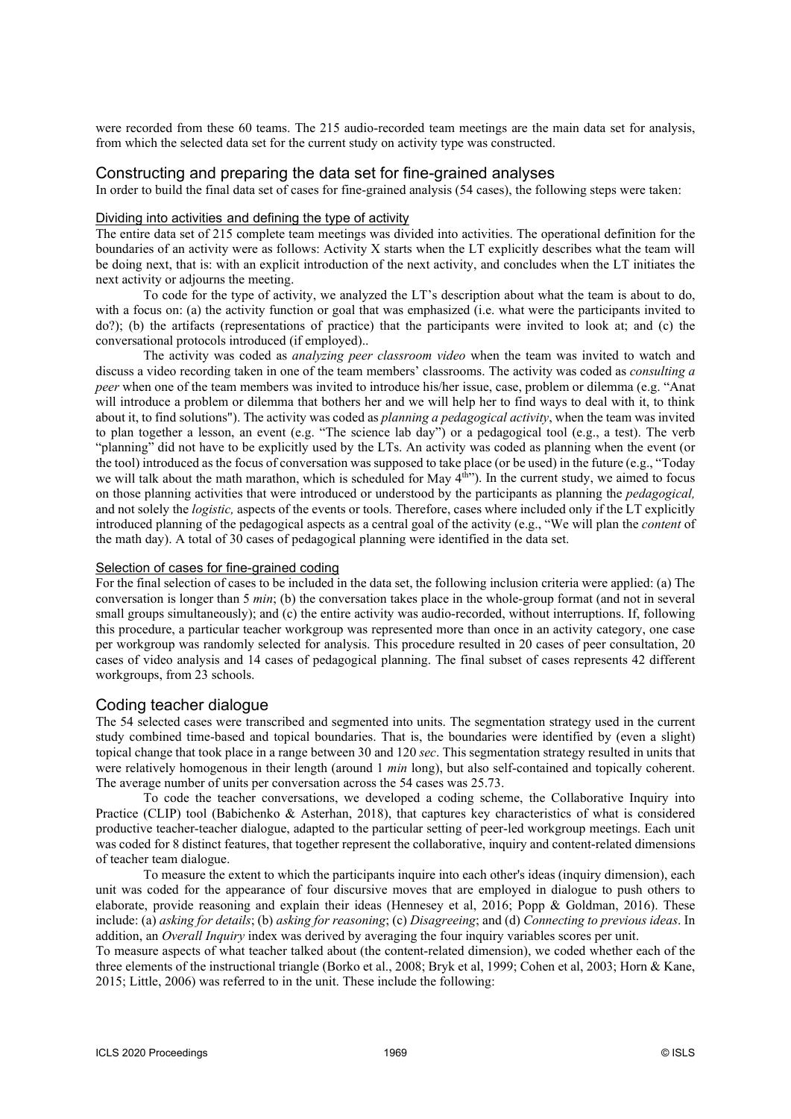were recorded from these 60 teams. The 215 audio-recorded team meetings are the main data set for analysis, from which the selected data set for the current study on activity type was constructed.

### Constructing and preparing the data set for fine-grained analyses

In order to build the final data set of cases for fine-grained analysis (54 cases), the following steps were taken:

#### Dividing into activities and defining the type of activity

The entire data set of 215 complete team meetings was divided into activities. The operational definition for the boundaries of an activity were as follows: Activity X starts when the LT explicitly describes what the team will be doing next, that is: with an explicit introduction of the next activity, and concludes when the LT initiates the next activity or adjourns the meeting.

To code for the type of activity, we analyzed the LT's description about what the team is about to do, with a focus on: (a) the activity function or goal that was emphasized (i.e. what were the participants invited to do?); (b) the artifacts (representations of practice) that the participants were invited to look at; and (c) the conversational protocols introduced (if employed)..

The activity was coded as *analyzing peer classroom video* when the team was invited to watch and discuss a video recording taken in one of the team members' classrooms. The activity was coded as *consulting a peer* when one of the team members was invited to introduce his/her issue, case, problem or dilemma (e.g. "Anat will introduce a problem or dilemma that bothers her and we will help her to find ways to deal with it, to think about it, to find solutions"). The activity was coded as *planning a pedagogical activity*, when the team was invited to plan together a lesson, an event (e.g. "The science lab day") or a pedagogical tool (e.g., a test). The verb "planning" did not have to be explicitly used by the LTs. An activity was coded as planning when the event (or the tool) introduced as the focus of conversation was supposed to take place (or be used) in the future (e.g., "Today we will talk about the math marathon, which is scheduled for May 4<sup>th</sup>"). In the current study, we aimed to focus on those planning activities that were introduced or understood by the participants as planning the *pedagogical,* and not solely the *logistic,* aspects of the events or tools. Therefore, cases where included only if the LT explicitly introduced planning of the pedagogical aspects as a central goal of the activity (e.g., "We will plan the *content* of the math day). A total of 30 cases of pedagogical planning were identified in the data set.

#### Selection of cases for fine-grained coding

For the final selection of cases to be included in the data set, the following inclusion criteria were applied: (a) The conversation is longer than 5 *min*; (b) the conversation takes place in the whole-group format (and not in several small groups simultaneously); and (c) the entire activity was audio-recorded, without interruptions. If, following this procedure, a particular teacher workgroup was represented more than once in an activity category, one case per workgroup was randomly selected for analysis. This procedure resulted in 20 cases of peer consultation, 20 cases of video analysis and 14 cases of pedagogical planning. The final subset of cases represents 42 different workgroups, from 23 schools.

#### Coding teacher dialogue

The 54 selected cases were transcribed and segmented into units. The segmentation strategy used in the current study combined time-based and topical boundaries. That is, the boundaries were identified by (even a slight) topical change that took place in a range between 30 and 120 *sec*. This segmentation strategy resulted in units that were relatively homogenous in their length (around 1 *min* long), but also self-contained and topically coherent. The average number of units per conversation across the 54 cases was 25.73.

To code the teacher conversations, we developed a coding scheme, the Collaborative Inquiry into Practice (CLIP) tool (Babichenko & Asterhan, 2018), that captures key characteristics of what is considered productive teacher-teacher dialogue, adapted to the particular setting of peer-led workgroup meetings. Each unit was coded for 8 distinct features, that together represent the collaborative, inquiry and content-related dimensions of teacher team dialogue.

To measure the extent to which the participants inquire into each other's ideas (inquiry dimension), each unit was coded for the appearance of four discursive moves that are employed in dialogue to push others to elaborate, provide reasoning and explain their ideas (Hennesey et al, 2016; Popp & Goldman, 2016). These include: (a) *asking for details*; (b) *asking for reasoning*; (c) *Disagreeing*; and (d) *Connecting to previous ideas*. In addition, an *Overall Inquiry* index was derived by averaging the four inquiry variables scores per unit.

To measure aspects of what teacher talked about (the content-related dimension), we coded whether each of the three elements of the instructional triangle (Borko et al., 2008; Bryk et al, 1999; Cohen et al, 2003; Horn & Kane, 2015; Little, 2006) was referred to in the unit. These include the following: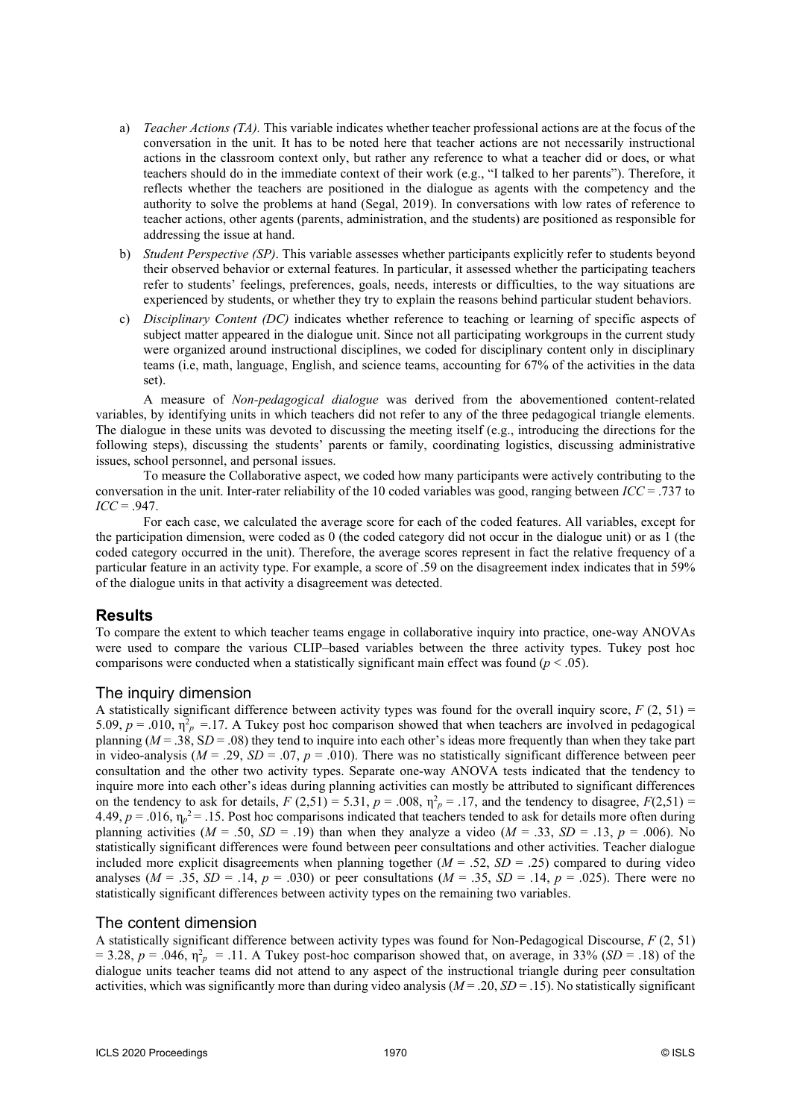- a) *Teacher Actions (TA).* This variable indicates whether teacher professional actions are at the focus of the conversation in the unit. It has to be noted here that teacher actions are not necessarily instructional actions in the classroom context only, but rather any reference to what a teacher did or does, or what teachers should do in the immediate context of their work (e.g., "I talked to her parents"). Therefore, it reflects whether the teachers are positioned in the dialogue as agents with the competency and the authority to solve the problems at hand (Segal, 2019). In conversations with low rates of reference to teacher actions, other agents (parents, administration, and the students) are positioned as responsible for addressing the issue at hand.
- b) *Student Perspective (SP)*. This variable assesses whether participants explicitly refer to students beyond their observed behavior or external features. In particular, it assessed whether the participating teachers refer to students' feelings, preferences, goals, needs, interests or difficulties, to the way situations are experienced by students, or whether they try to explain the reasons behind particular student behaviors.
- c) *Disciplinary Content (DC)* indicates whether reference to teaching or learning of specific aspects of subject matter appeared in the dialogue unit. Since not all participating workgroups in the current study were organized around instructional disciplines, we coded for disciplinary content only in disciplinary teams (i.e, math, language, English, and science teams, accounting for 67% of the activities in the data set).

A measure of *Non-pedagogical dialogue* was derived from the abovementioned content-related variables, by identifying units in which teachers did not refer to any of the three pedagogical triangle elements. The dialogue in these units was devoted to discussing the meeting itself (e.g., introducing the directions for the following steps), discussing the students' parents or family, coordinating logistics, discussing administrative issues, school personnel, and personal issues.

To measure the Collaborative aspect, we coded how many participants were actively contributing to the conversation in the unit. Inter-rater reliability of the 10 coded variables was good, ranging between *ICC* = .737 to  $\textit{ICC} = .947$ .

For each case, we calculated the average score for each of the coded features. All variables, except for the participation dimension, were coded as 0 (the coded category did not occur in the dialogue unit) or as 1 (the coded category occurred in the unit). Therefore, the average scores represent in fact the relative frequency of a particular feature in an activity type. For example, a score of .59 on the disagreement index indicates that in 59% of the dialogue units in that activity a disagreement was detected.

# **Results**

To compare the extent to which teacher teams engage in collaborative inquiry into practice, one-way ANOVAs were used to compare the various CLIP–based variables between the three activity types. Tukey post hoc comparisons were conducted when a statistically significant main effect was found ( $p < .05$ ).

### The inquiry dimension

A statistically significant difference between activity types was found for the overall inquiry score,  $F(2, 51)$  = 5.09,  $p = .010$ ,  $\eta_p^2 = .17$ . A Tukey post hoc comparison showed that when teachers are involved in pedagogical planning ( $M = 0.38$ ,  $SD = 0.08$ ) they tend to inquire into each other's ideas more frequently than when they take part in video-analysis  $(M = .29, SD = .07, p = .010)$ . There was no statistically significant difference between peer consultation and the other two activity types. Separate one-way ANOVA tests indicated that the tendency to inquire more into each other's ideas during planning activities can mostly be attributed to significant differences on the tendency to ask for details,  $F(2,51) = 5.31$ ,  $p = .008$ ,  $\eta_p^2 = .17$ , and the tendency to disagree,  $F(2,51) =$  $4.49, p = .016, \eta_p^2 = .15$ . Post hoc comparisons indicated that teachers tended to ask for details more often during planning activities ( $M = .50$ ,  $SD = .19$ ) than when they analyze a video ( $M = .33$ ,  $SD = .13$ ,  $p = .006$ ). No statistically significant differences were found between peer consultations and other activities. Teacher dialogue included more explicit disagreements when planning together  $(M = .52, SD = .25)$  compared to during video analyses  $(M = .35, SD = .14, p = .030)$  or peer consultations  $(M = .35, SD = .14, p = .025)$ . There were no statistically significant differences between activity types on the remaining two variables.

### The content dimension

A statistically significant difference between activity types was found for Non-Pedagogical Discourse, *F* (2, 51)  $= 3.28$ ,  $p = .046$ ,  $\eta_p^2 = .11$ . A Tukey post-hoc comparison showed that, on average, in 33% (*SD* = .18) of the dialogue units teacher teams did not attend to any aspect of the instructional triangle during peer consultation activities, which was significantly more than during video analysis  $(M = .20, SD = .15)$ . No statistically significant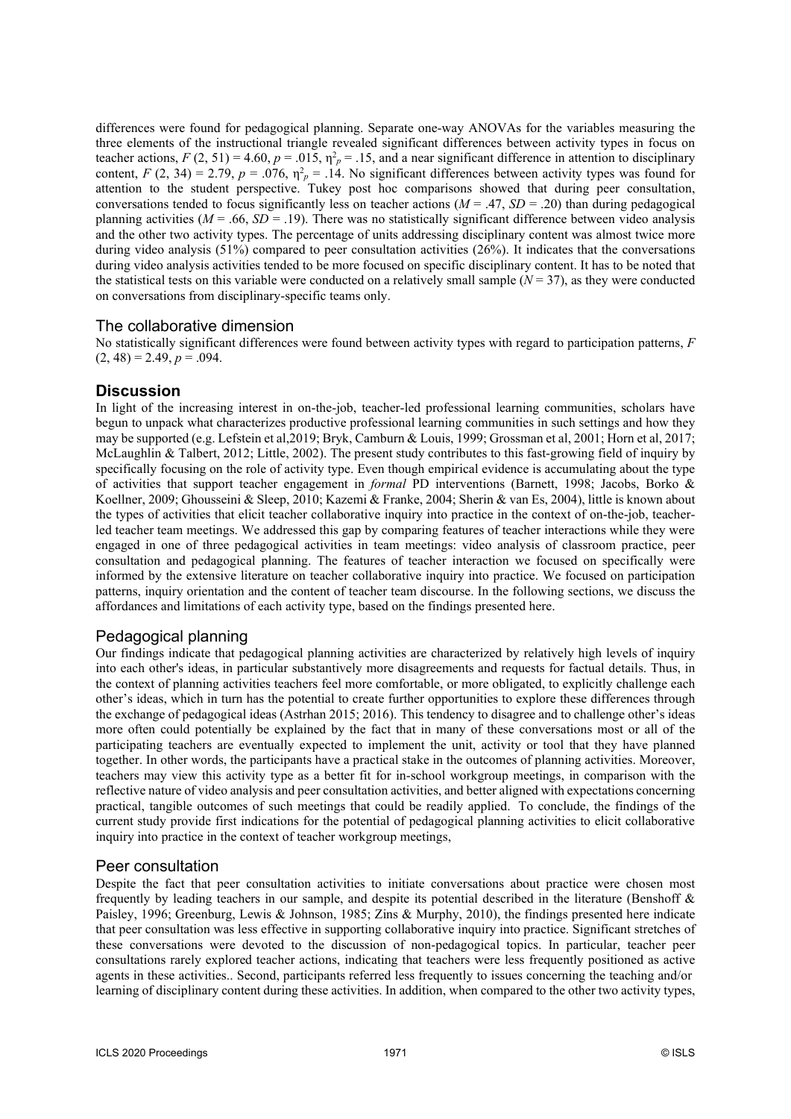differences were found for pedagogical planning. Separate one-way ANOVAs for the variables measuring the three elements of the instructional triangle revealed significant differences between activity types in focus on teacher actions,  $F(2, 51) = 4.60$ ,  $p = .015$ ,  $\eta_p^2 = .15$ , and a near significant difference in attention to disciplinary content,  $F(2, 34) = 2.79$ ,  $p = .076$ ,  $\eta^2 = .14$ . No significant differences between activity types was found for attention to the student perspective. Tukey post hoc comparisons showed that during peer consultation, conversations tended to focus significantly less on teacher actions  $(M = .47, SD = .20)$  than during pedagogical planning activities ( $M = .66$ ,  $SD = .19$ ). There was no statistically significant difference between video analysis and the other two activity types. The percentage of units addressing disciplinary content was almost twice more during video analysis (51%) compared to peer consultation activities (26%). It indicates that the conversations during video analysis activities tended to be more focused on specific disciplinary content. It has to be noted that the statistical tests on this variable were conducted on a relatively small sample  $(N = 37)$ , as they were conducted on conversations from disciplinary-specific teams only.

### The collaborative dimension

No statistically significant differences were found between activity types with regard to participation patterns, *F*  $(2, 48) = 2.49, p = .094.$ 

### **Discussion**

In light of the increasing interest in on-the-job, teacher-led professional learning communities, scholars have begun to unpack what characterizes productive professional learning communities in such settings and how they may be supported (e.g. Lefstein et al,2019; Bryk, Camburn & Louis, 1999; Grossman et al, 2001; Horn et al, 2017; McLaughlin & Talbert, 2012; Little, 2002). The present study contributes to this fast-growing field of inquiry by specifically focusing on the role of activity type. Even though empirical evidence is accumulating about the type of activities that support teacher engagement in *formal* PD interventions (Barnett, 1998; Jacobs, Borko & Koellner, 2009; Ghousseini & Sleep, 2010; Kazemi & Franke, 2004; Sherin & van Es, 2004), little is known about the types of activities that elicit teacher collaborative inquiry into practice in the context of on-the-job, teacherled teacher team meetings. We addressed this gap by comparing features of teacher interactions while they were engaged in one of three pedagogical activities in team meetings: video analysis of classroom practice, peer consultation and pedagogical planning. The features of teacher interaction we focused on specifically were informed by the extensive literature on teacher collaborative inquiry into practice. We focused on participation patterns, inquiry orientation and the content of teacher team discourse. In the following sections, we discuss the affordances and limitations of each activity type, based on the findings presented here.

# Pedagogical planning

Our findings indicate that pedagogical planning activities are characterized by relatively high levels of inquiry into each other's ideas, in particular substantively more disagreements and requests for factual details. Thus, in the context of planning activities teachers feel more comfortable, or more obligated, to explicitly challenge each other's ideas, which in turn has the potential to create further opportunities to explore these differences through the exchange of pedagogical ideas (Astrhan 2015; 2016). This tendency to disagree and to challenge other's ideas more often could potentially be explained by the fact that in many of these conversations most or all of the participating teachers are eventually expected to implement the unit, activity or tool that they have planned together. In other words, the participants have a practical stake in the outcomes of planning activities. Moreover, teachers may view this activity type as a better fit for in-school workgroup meetings, in comparison with the reflective nature of video analysis and peer consultation activities, and better aligned with expectations concerning practical, tangible outcomes of such meetings that could be readily applied. To conclude, the findings of the current study provide first indications for the potential of pedagogical planning activities to elicit collaborative inquiry into practice in the context of teacher workgroup meetings,

### Peer consultation

Despite the fact that peer consultation activities to initiate conversations about practice were chosen most frequently by leading teachers in our sample, and despite its potential described in the literature (Benshoff & Paisley, 1996; Greenburg, Lewis & Johnson, 1985; Zins & Murphy, 2010), the findings presented here indicate that peer consultation was less effective in supporting collaborative inquiry into practice. Significant stretches of these conversations were devoted to the discussion of non-pedagogical topics. In particular, teacher peer consultations rarely explored teacher actions, indicating that teachers were less frequently positioned as active agents in these activities.. Second, participants referred less frequently to issues concerning the teaching and/or learning of disciplinary content during these activities. In addition, when compared to the other two activity types,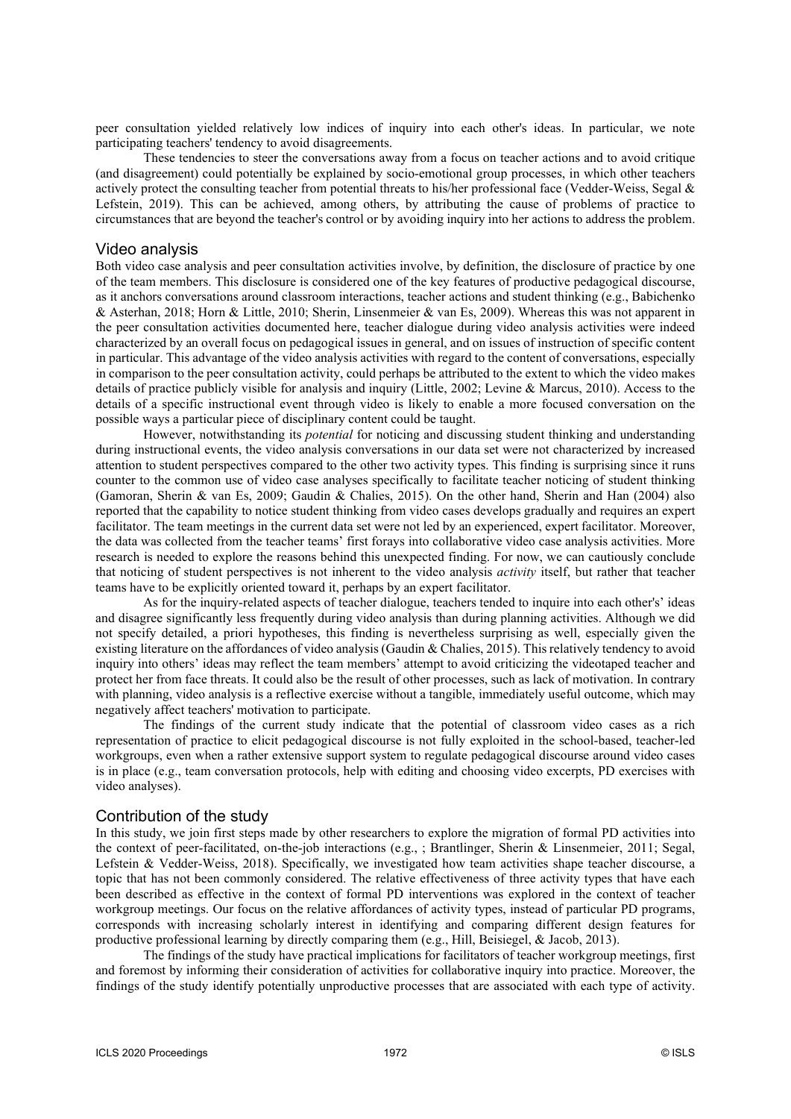peer consultation yielded relatively low indices of inquiry into each other's ideas. In particular, we note participating teachers' tendency to avoid disagreements.

These tendencies to steer the conversations away from a focus on teacher actions and to avoid critique (and disagreement) could potentially be explained by socio-emotional group processes, in which other teachers actively protect the consulting teacher from potential threats to his/her professional face (Vedder-Weiss, Segal & Lefstein, 2019). This can be achieved, among others, by attributing the cause of problems of practice to circumstances that are beyond the teacher's control or by avoiding inquiry into her actions to address the problem.

#### Video analysis

Both video case analysis and peer consultation activities involve, by definition, the disclosure of practice by one of the team members. This disclosure is considered one of the key features of productive pedagogical discourse, as it anchors conversations around classroom interactions, teacher actions and student thinking (e.g., Babichenko & Asterhan, 2018; Horn & Little, 2010; Sherin, Linsenmeier & van Es, 2009). Whereas this was not apparent in the peer consultation activities documented here, teacher dialogue during video analysis activities were indeed characterized by an overall focus on pedagogical issues in general, and on issues of instruction of specific content in particular. This advantage of the video analysis activities with regard to the content of conversations, especially in comparison to the peer consultation activity, could perhaps be attributed to the extent to which the video makes details of practice publicly visible for analysis and inquiry (Little, 2002; Levine & Marcus, 2010). Access to the details of a specific instructional event through video is likely to enable a more focused conversation on the possible ways a particular piece of disciplinary content could be taught.

However, notwithstanding its *potential* for noticing and discussing student thinking and understanding during instructional events, the video analysis conversations in our data set were not characterized by increased attention to student perspectives compared to the other two activity types. This finding is surprising since it runs counter to the common use of video case analyses specifically to facilitate teacher noticing of student thinking (Gamoran, Sherin & van Es, 2009; Gaudin & Chalies, 2015). On the other hand, Sherin and Han (2004) also reported that the capability to notice student thinking from video cases develops gradually and requires an expert facilitator. The team meetings in the current data set were not led by an experienced, expert facilitator. Moreover, the data was collected from the teacher teams' first forays into collaborative video case analysis activities. More research is needed to explore the reasons behind this unexpected finding. For now, we can cautiously conclude that noticing of student perspectives is not inherent to the video analysis *activity* itself, but rather that teacher teams have to be explicitly oriented toward it, perhaps by an expert facilitator.

As for the inquiry-related aspects of teacher dialogue, teachers tended to inquire into each other's' ideas and disagree significantly less frequently during video analysis than during planning activities. Although we did not specify detailed, a priori hypotheses, this finding is nevertheless surprising as well, especially given the existing literature on the affordances of video analysis (Gaudin & Chalies, 2015). This relatively tendency to avoid inquiry into others' ideas may reflect the team members' attempt to avoid criticizing the videotaped teacher and protect her from face threats. It could also be the result of other processes, such as lack of motivation. In contrary with planning, video analysis is a reflective exercise without a tangible, immediately useful outcome, which may negatively affect teachers' motivation to participate.

The findings of the current study indicate that the potential of classroom video cases as a rich representation of practice to elicit pedagogical discourse is not fully exploited in the school-based, teacher-led workgroups, even when a rather extensive support system to regulate pedagogical discourse around video cases is in place (e.g., team conversation protocols, help with editing and choosing video excerpts, PD exercises with video analyses).

#### Contribution of the study

In this study, we join first steps made by other researchers to explore the migration of formal PD activities into the context of peer-facilitated, on-the-job interactions (e.g., ; Brantlinger, Sherin & Linsenmeier, 2011; Segal, Lefstein & Vedder-Weiss, 2018). Specifically, we investigated how team activities shape teacher discourse, a topic that has not been commonly considered. The relative effectiveness of three activity types that have each been described as effective in the context of formal PD interventions was explored in the context of teacher workgroup meetings. Our focus on the relative affordances of activity types, instead of particular PD programs, corresponds with increasing scholarly interest in identifying and comparing different design features for productive professional learning by directly comparing them (e.g., Hill, Beisiegel, & Jacob, 2013).

The findings of the study have practical implications for facilitators of teacher workgroup meetings, first and foremost by informing their consideration of activities for collaborative inquiry into practice. Moreover, the findings of the study identify potentially unproductive processes that are associated with each type of activity.